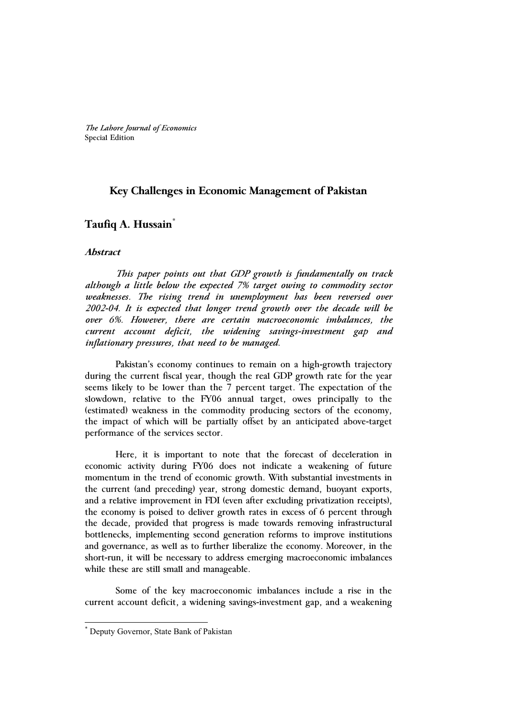*The Lahore Journal of Economics* Special Edition

### **Key Challenges in Economic Management of Pakistan**

## **Taufiq A. Hussain\***

#### **Abstract**

 *This paper points out that GDP growth is fundamentally on track although a little below the expected 7% target owing to commodity sector weaknesses. The rising trend in unemployment has been reversed over 2002-04. It is expected that longer trend growth over the decade will be over 6%. However, there are certain macroeconomic imbalances, the current account deficit, the widening savings-investment gap and inflationary pressures, that need to be managed.* 

Pakistan's economy continues to remain on a high-growth trajectory during the current fiscal year, though the real GDP growth rate for the year seems likely to be lower than the 7 percent target. The expectation of the slowdown, relative to the FY06 annual target, owes principally to the (estimated) weakness in the commodity producing sectors of the economy, the impact of which will be partially offset by an anticipated above-target performance of the services sector.

Here, it is important to note that the forecast of deceleration in economic activity during FY06 does not indicate a weakening of future momentum in the trend of economic growth. With substantial investments in the current (and preceding) year, strong domestic demand, buoyant exports, and a relative improvement in FDI (even after excluding privatization receipts), the economy is poised to deliver growth rates in excess of 6 percent through the decade, provided that progress is made towards removing infrastructural bottlenecks, implementing second generation reforms to improve institutions and governance, as well as to further liberalize the economy. Moreover, in the short-run, it will be necessary to address emerging macroeconomic imbalances while these are still small and manageable.

Some of the key macroeconomic imbalances include a rise in the current account deficit, a widening savings-investment gap, and a weakening

 $\overline{a}$ 

<sup>\*</sup> Deputy Governor, State Bank of Pakistan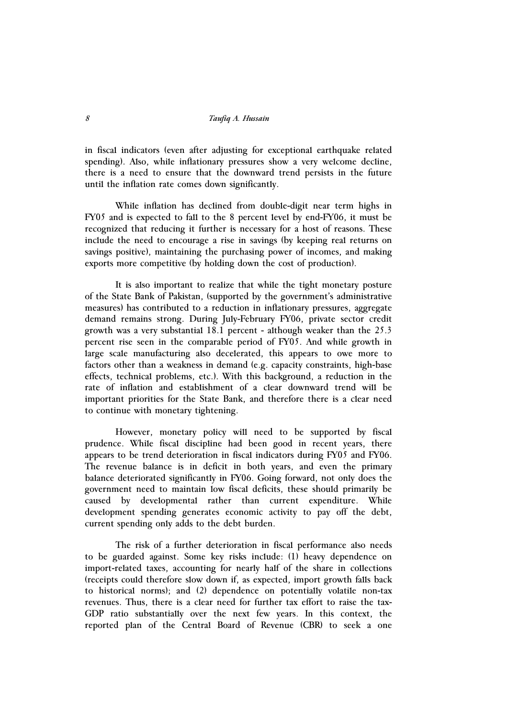in fiscal indicators (even after adjusting for exceptional earthquake related spending). Also, while inflationary pressures show a very welcome decline, there is a need to ensure that the downward trend persists in the future until the inflation rate comes down significantly.

While inflation has declined from double-digit near term highs in FY05 and is expected to fall to the 8 percent level by end-FY06, it must be recognized that reducing it further is necessary for a host of reasons. These include the need to encourage a rise in savings (by keeping real returns on savings positive), maintaining the purchasing power of incomes, and making exports more competitive (by holding down the cost of production).

It is also important to realize that while the tight monetary posture of the State Bank of Pakistan, (supported by the government's administrative measures) has contributed to a reduction in inflationary pressures, aggregate demand remains strong. During July-February FY06, private sector credit growth was a very substantial 18.1 percent - although weaker than the 25.3 percent rise seen in the comparable period of FY05. And while growth in large scale manufacturing also decelerated, this appears to owe more to factors other than a weakness in demand (e.g. capacity constraints, high-base effects, technical problems, etc.). With this background, a reduction in the rate of inflation and establishment of a clear downward trend will be important priorities for the State Bank, and therefore there is a clear need to continue with monetary tightening.

However, monetary policy will need to be supported by fiscal prudence. While fiscal discipline had been good in recent years, there appears to be trend deterioration in fiscal indicators during FY05 and FY06. The revenue balance is in deficit in both years, and even the primary balance deteriorated significantly in FY06. Going forward, not only does the government need to maintain low fiscal deficits, these should primarily be caused by developmental rather than current expenditure. While development spending generates economic activity to pay off the debt, current spending only adds to the debt burden.

The risk of a further deterioration in fiscal performance also needs to be guarded against. Some key risks include: (1) heavy dependence on import-related taxes, accounting for nearly half of the share in collections (receipts could therefore slow down if, as expected, import growth falls back to historical norms); and (2) dependence on potentially volatile non-tax revenues. Thus, there is a clear need for further tax effort to raise the tax-GDP ratio substantially over the next few years. In this context, the reported plan of the Central Board of Revenue (CBR) to seek a one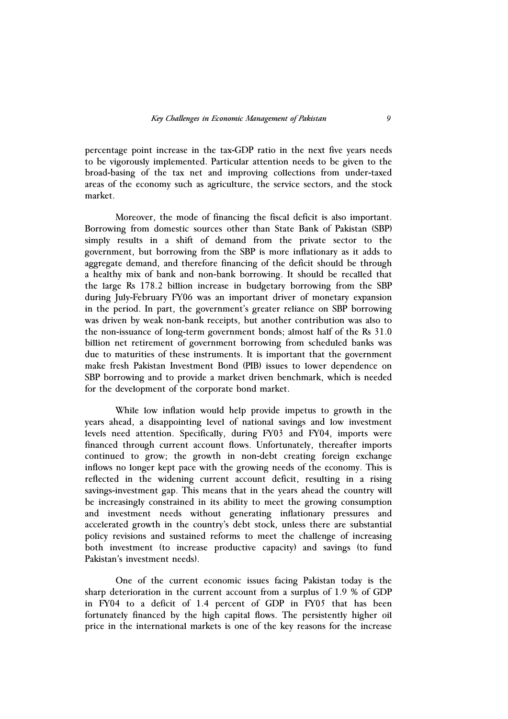percentage point increase in the tax-GDP ratio in the next five years needs to be vigorously implemented. Particular attention needs to be given to the broad-basing of the tax net and improving collections from under-taxed areas of the economy such as agriculture, the service sectors, and the stock market.

Moreover, the mode of financing the fiscal deficit is also important. Borrowing from domestic sources other than State Bank of Pakistan (SBP) simply results in a shift of demand from the private sector to the government, but borrowing from the SBP is more inflationary as it adds to aggregate demand, and therefore financing of the deficit should be through a healthy mix of bank and non-bank borrowing. It should be recalled that the large Rs 178.2 billion increase in budgetary borrowing from the SBP during July-February FY06 was an important driver of monetary expansion in the period. In part, the government's greater reliance on SBP borrowing was driven by weak non-bank receipts, but another contribution was also to the non-issuance of long-term government bonds; almost half of the Rs 31.0 billion net retirement of government borrowing from scheduled banks was due to maturities of these instruments. It is important that the government make fresh Pakistan Investment Bond (PIB) issues to lower dependence on SBP borrowing and to provide a market driven benchmark, which is needed for the development of the corporate bond market.

While low inflation would help provide impetus to growth in the years ahead, a disappointing level of national savings and low investment levels need attention. Specifically, during FY03 and FY04, imports were financed through current account flows. Unfortunately, thereafter imports continued to grow; the growth in non-debt creating foreign exchange inflows no longer kept pace with the growing needs of the economy. This is reflected in the widening current account deficit, resulting in a rising savings-investment gap. This means that in the years ahead the country will be increasingly constrained in its ability to meet the growing consumption and investment needs without generating inflationary pressures and accelerated growth in the country's debt stock, unless there are substantial policy revisions and sustained reforms to meet the challenge of increasing both investment (to increase productive capacity) and savings (to fund Pakistan's investment needs).

One of the current economic issues facing Pakistan today is the sharp deterioration in the current account from a surplus of 1.9 % of GDP in FY04 to a deficit of 1.4 percent of GDP in FY05 that has been fortunately financed by the high capital flows. The persistently higher oil price in the international markets is one of the key reasons for the increase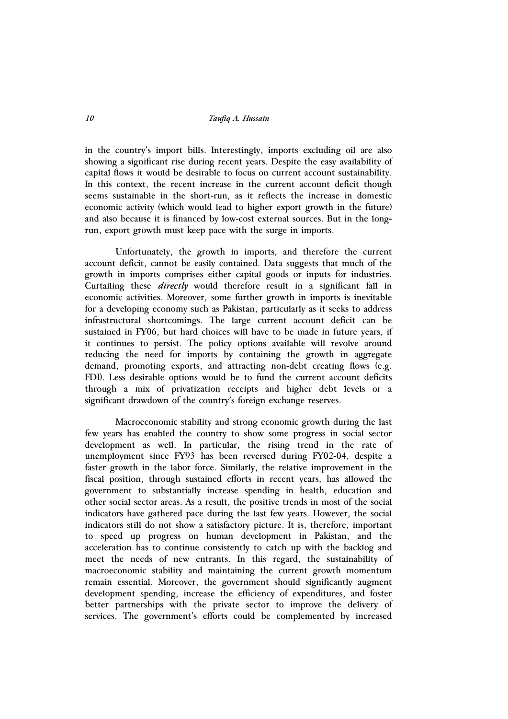in the country's import bills. Interestingly, imports excluding oil are also showing a significant rise during recent years. Despite the easy availability of capital flows it would be desirable to focus on current account sustainability. In this context, the recent increase in the current account deficit though seems sustainable in the short-run, as it reflects the increase in domestic economic activity (which would lead to higher export growth in the future) and also because it is financed by low-cost external sources. But in the longrun, export growth must keep pace with the surge in imports.

Unfortunately, the growth in imports, and therefore the current account deficit, cannot be easily contained. Data suggests that much of the growth in imports comprises either capital goods or inputs for industries. Curtailing these *directly* would therefore result in a significant fall in economic activities. Moreover, some further growth in imports is inevitable for a developing economy such as Pakistan, particularly as it seeks to address infrastructural shortcomings. The large current account deficit can be sustained in FY06, but hard choices will have to be made in future years, if it continues to persist. The policy options available will revolve around reducing the need for imports by containing the growth in aggregate demand, promoting exports, and attracting non-debt creating flows (e.g. FDI). Less desirable options would be to fund the current account deficits through a mix of privatization receipts and higher debt levels or a significant drawdown of the country's foreign exchange reserves.

Macroeconomic stability and strong economic growth during the last few years has enabled the country to show some progress in social sector development as well. In particular, the rising trend in the rate of unemployment since FY93 has been reversed during FY02-04, despite a faster growth in the labor force. Similarly, the relative improvement in the fiscal position, through sustained efforts in recent years, has allowed the government to substantially increase spending in health, education and other social sector areas. As a result, the positive trends in most of the social indicators have gathered pace during the last few years. However, the social indicators still do not show a satisfactory picture. It is, therefore, important to speed up progress on human development in Pakistan, and the acceleration has to continue consistently to catch up with the backlog and meet the needs of new entrants. In this regard, the sustainability of macroeconomic stability and maintaining the current growth momentum remain essential. Moreover, the government should significantly augment development spending, increase the efficiency of expenditures, and foster better partnerships with the private sector to improve the delivery of services. The government's efforts could be complemented by increased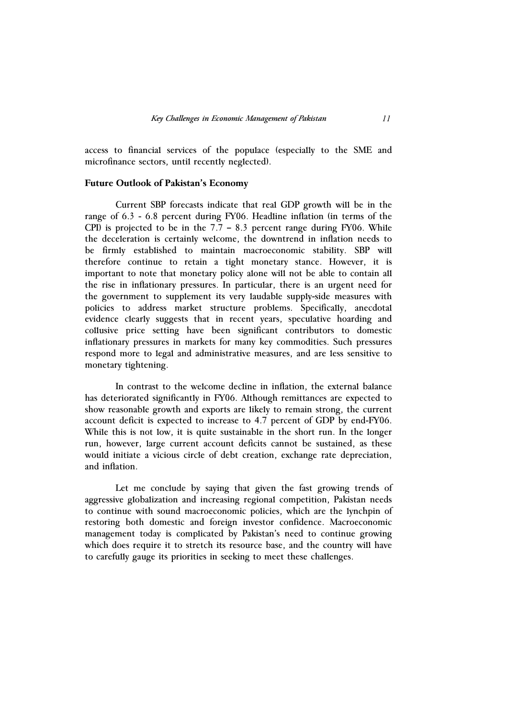access to financial services of the populace (especially to the SME and microfinance sectors, until recently neglected).

#### **Future Outlook of Pakistan's Economy**

Current SBP forecasts indicate that real GDP growth will be in the range of 6.3 - 6.8 percent during FY06. Headline inflation (in terms of the CPI) is projected to be in the  $7.7 - 8.3$  percent range during FY06. While the deceleration is certainly welcome, the downtrend in inflation needs to be firmly established to maintain macroeconomic stability. SBP will therefore continue to retain a tight monetary stance. However, it is important to note that monetary policy alone will not be able to contain all the rise in inflationary pressures. In particular, there is an urgent need for the government to supplement its very laudable supply-side measures with policies to address market structure problems. Specifically, anecdotal evidence clearly suggests that in recent years, speculative hoarding and collusive price setting have been significant contributors to domestic inflationary pressures in markets for many key commodities. Such pressures respond more to legal and administrative measures, and are less sensitive to monetary tightening.

In contrast to the welcome decline in inflation, the external balance has deteriorated significantly in FY06. Although remittances are expected to show reasonable growth and exports are likely to remain strong, the current account deficit is expected to increase to 4.7 percent of GDP by end-FY06. While this is not low, it is quite sustainable in the short run. In the longer run, however, large current account deficits cannot be sustained, as these would initiate a vicious circle of debt creation, exchange rate depreciation, and inflation.

Let me conclude by saying that given the fast growing trends of aggressive globalization and increasing regional competition, Pakistan needs to continue with sound macroeconomic policies, which are the lynchpin of restoring both domestic and foreign investor confidence. Macroeconomic management today is complicated by Pakistan's need to continue growing which does require it to stretch its resource base, and the country will have to carefully gauge its priorities in seeking to meet these challenges.